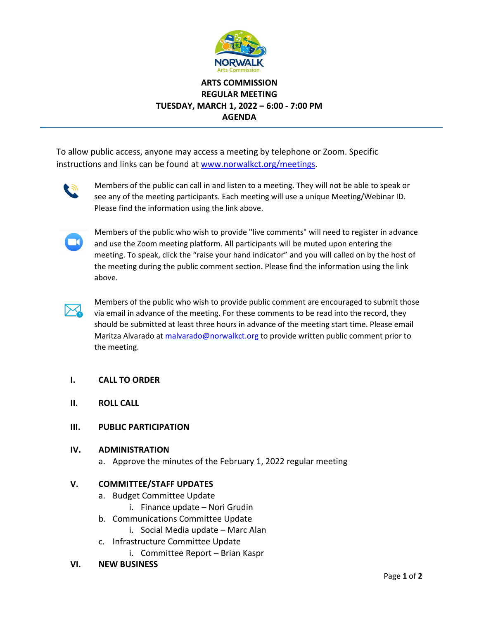

# **ARTS COMMISSION REGULAR MEETING TUESDAY, MARCH 1, 2022 – 6:00 - 7:00 PM AGENDA**

To allow public access, anyone may access a meeting by telephone or Zoom. Specific instructions and links can be found at www.norwalkct.org/meetings.



Members of the public can call in and listen to a meeting. They will not be able to speak or see any of the meeting participants. Each meeting will use a unique Meeting/Webinar ID. Please find the information using the link above.



Members of the public who wish to provide "live comments" will need to register in advance and use the Zoom meeting platform. All participants will be muted upon entering the meeting. To speak, click the "raise your hand indicator" and you will called on by the host of the meeting during the public comment section. Please find the information using the link above.



Members of the public who wish to provide public comment are encouraged to submit those via email in advance of the meeting. For these comments to be read into the record, they should be submitted at least three hours in advance of the meeting start time. Please email Maritza Alvarado at [malvarado@norwalkct.org](mailto:malvarado@norwalkct.org) to provide written public comment prior to the meeting.

## **I. CALL TO ORDER**

- **II. ROLL CALL**
- **III. PUBLIC PARTICIPATION**

## **IV. ADMINISTRATION**

a. Approve the minutes of the February 1, 2022 regular meeting

## **V. COMMITTEE/STAFF UPDATES**

- a. Budget Committee Update
	- i. Finance update Nori Grudin
- b. Communications Committee Update
	- i. Social Media update Marc Alan
- c. Infrastructure Committee Update
	- i. Committee Report Brian Kaspr

## **VI. NEW BUSINESS**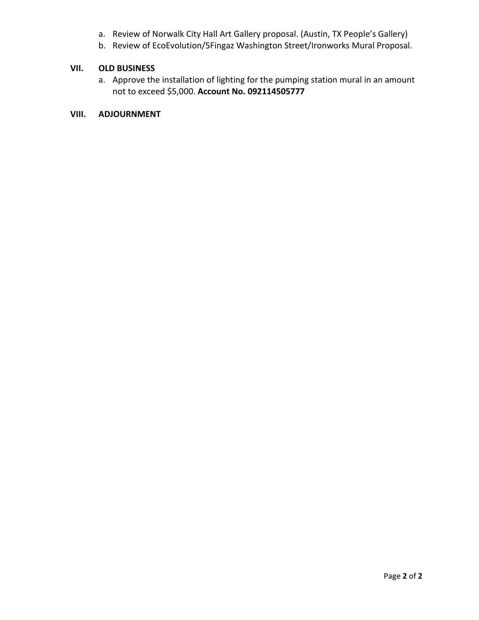- a. Review of Norwalk City Hall Art Gallery proposal. (Austin, TX People's Gallery)
- b. Review of EcoEvolution/5Fingaz Washington Street/Ironworks Mural Proposal.

## **VII. OLD BUSINESS**

a. Approve the installation of lighting for the pumping station mural in an amount not to exceed \$5,000. **Account No. 092114505777**

# **VIII. ADJOURNMENT**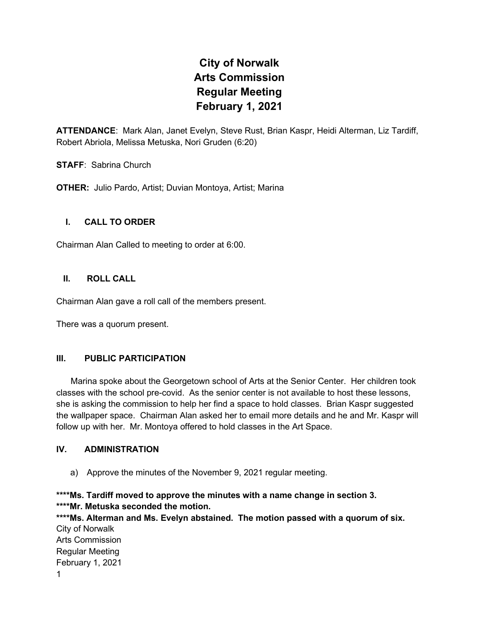# **City of Norwalk Arts Commission Regular Meeting February 1, 2021**

**ATTENDANCE**: Mark Alan, Janet Evelyn, Steve Rust, Brian Kaspr, Heidi Alterman, Liz Tardiff, Robert Abriola, Melissa Metuska, Nori Gruden (6:20)

**STAFF**: Sabrina Church

**OTHER:** Julio Pardo, Artist; Duvian Montoya, Artist; Marina

## **I. CALL TO ORDER**

Chairman Alan Called to meeting to order at 6:00.

## **II. ROLL CALL**

Chairman Alan gave a roll call of the members present.

There was a quorum present.

## **III. PUBLIC PARTICIPATION**

 Marina spoke about the Georgetown school of Arts at the Senior Center. Her children took classes with the school pre-covid. As the senior center is not available to host these lessons, she is asking the commission to help her find a space to hold classes. Brian Kaspr suggested the wallpaper space. Chairman Alan asked her to email more details and he and Mr. Kaspr will follow up with her. Mr. Montoya offered to hold classes in the Art Space.

## **IV. ADMINISTRATION**

a) Approve the minutes of the November 9, 2021 regular meeting.

**\*\*\*\*Ms. Tardiff moved to approve the minutes with a name change in section 3. \*\*\*\*Mr. Metuska seconded the motion.**

City of Norwalk Arts Commission Regular Meeting February 1, 2021 1 **\*\*\*\*Ms. Alterman and Ms. Evelyn abstained. The motion passed with a quorum of six.**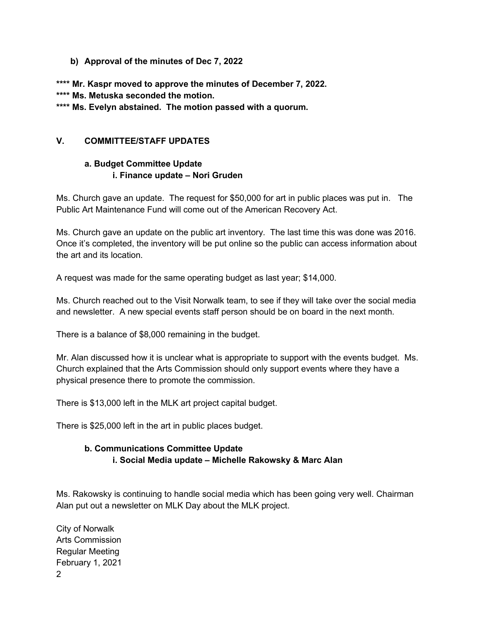## **b) Approval of the minutes of Dec 7, 2022**

**\*\*\*\* Mr. Kaspr moved to approve the minutes of December 7, 2022.**

**\*\*\*\* Ms. Metuska seconded the motion.**

**\*\*\*\* Ms. Evelyn abstained. The motion passed with a quorum.**

## **V. COMMITTEE/STAFF UPDATES**

# **a. Budget Committee Update i. Finance update – Nori Gruden**

Ms. Church gave an update. The request for \$50,000 for art in public places was put in. The Public Art Maintenance Fund will come out of the American Recovery Act.

Ms. Church gave an update on the public art inventory. The last time this was done was 2016. Once it's completed, the inventory will be put online so the public can access information about the art and its location.

A request was made for the same operating budget as last year; \$14,000.

Ms. Church reached out to the Visit Norwalk team, to see if they will take over the social media and newsletter. A new special events staff person should be on board in the next month.

There is a balance of \$8,000 remaining in the budget.

Mr. Alan discussed how it is unclear what is appropriate to support with the events budget. Ms. Church explained that the Arts Commission should only support events where they have a physical presence there to promote the commission.

There is \$13,000 left in the MLK art project capital budget.

There is \$25,000 left in the art in public places budget.

# **b. Communications Committee Update i. Social Media update – Michelle Rakowsky & Marc Alan**

Ms. Rakowsky is continuing to handle social media which has been going very well. Chairman Alan put out a newsletter on MLK Day about the MLK project.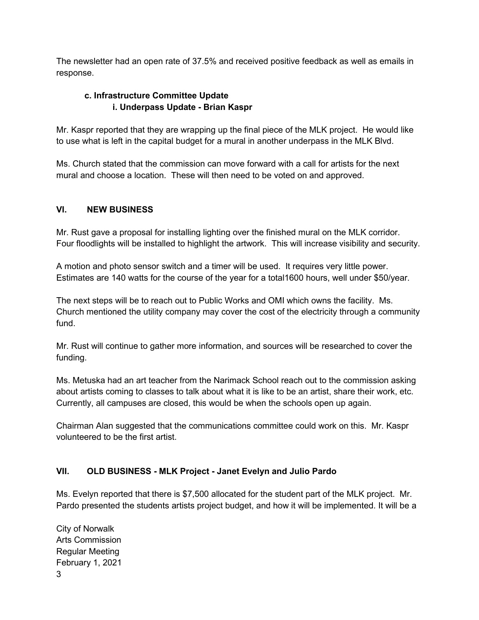The newsletter had an open rate of 37.5% and received positive feedback as well as emails in response.

# **c. Infrastructure Committee Update i. Underpass Update - Brian Kaspr**

Mr. Kaspr reported that they are wrapping up the final piece of the MLK project. He would like to use what is left in the capital budget for a mural in another underpass in the MLK Blvd.

Ms. Church stated that the commission can move forward with a call for artists for the next mural and choose a location. These will then need to be voted on and approved.

# **VI. NEW BUSINESS**

Mr. Rust gave a proposal for installing lighting over the finished mural on the MLK corridor. Four floodlights will be installed to highlight the artwork. This will increase visibility and security.

A motion and photo sensor switch and a timer will be used. It requires very little power. Estimates are 140 watts for the course of the year for a total1600 hours, well under \$50/year.

The next steps will be to reach out to Public Works and OMI which owns the facility. Ms. Church mentioned the utility company may cover the cost of the electricity through a community fund.

Mr. Rust will continue to gather more information, and sources will be researched to cover the funding.

Ms. Metuska had an art teacher from the Narimack School reach out to the commission asking about artists coming to classes to talk about what it is like to be an artist, share their work, etc. Currently, all campuses are closed, this would be when the schools open up again.

Chairman Alan suggested that the communications committee could work on this. Mr. Kaspr volunteered to be the first artist.

# **VII. OLD BUSINESS - MLK Project - Janet Evelyn and Julio Pardo**

Ms. Evelyn reported that there is \$7,500 allocated for the student part of the MLK project. Mr. Pardo presented the students artists project budget, and how it will be implemented. It will be a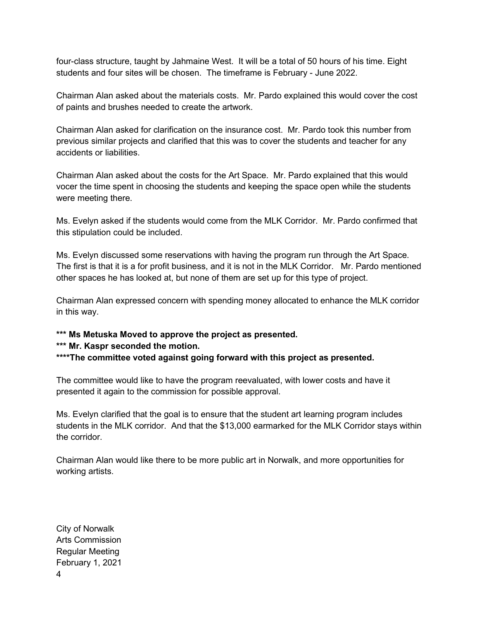four-class structure, taught by Jahmaine West. It will be a total of 50 hours of his time. Eight students and four sites will be chosen. The timeframe is February - June 2022.

Chairman Alan asked about the materials costs. Mr. Pardo explained this would cover the cost of paints and brushes needed to create the artwork.

Chairman Alan asked for clarification on the insurance cost. Mr. Pardo took this number from previous similar projects and clarified that this was to cover the students and teacher for any accidents or liabilities.

Chairman Alan asked about the costs for the Art Space. Mr. Pardo explained that this would vocer the time spent in choosing the students and keeping the space open while the students were meeting there.

Ms. Evelyn asked if the students would come from the MLK Corridor. Mr. Pardo confirmed that this stipulation could be included.

Ms. Evelyn discussed some reservations with having the program run through the Art Space. The first is that it is a for profit business, and it is not in the MLK Corridor. Mr. Pardo mentioned other spaces he has looked at, but none of them are set up for this type of project.

Chairman Alan expressed concern with spending money allocated to enhance the MLK corridor in this way.

**\*\*\* Ms Metuska Moved to approve the project as presented.**

## **\*\*\* Mr. Kaspr seconded the motion.**

**\*\*\*\*The committee voted against going forward with this project as presented.**

The committee would like to have the program reevaluated, with lower costs and have it presented it again to the commission for possible approval.

Ms. Evelyn clarified that the goal is to ensure that the student art learning program includes students in the MLK corridor. And that the \$13,000 earmarked for the MLK Corridor stays within the corridor.

Chairman Alan would like there to be more public art in Norwalk, and more opportunities for working artists.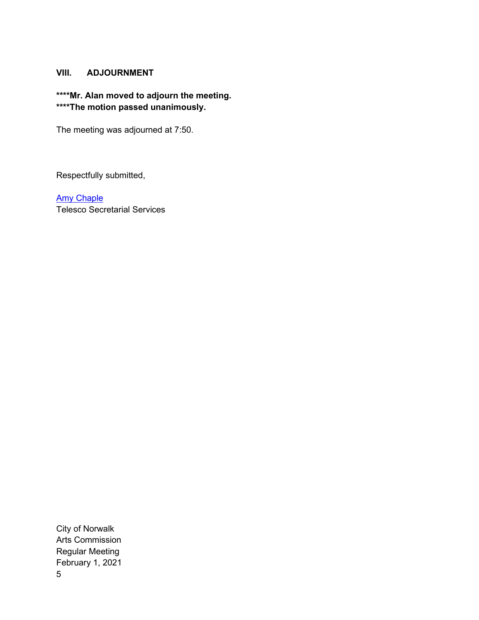## **VIII. ADJOURNMENT**

# **\*\*\*\*Mr. Alan moved to adjourn the meeting. \*\*\*\*The motion passed unanimously.**

The meeting was adjourned at 7:50.

Respectfully submitted,

[Amy Chaple](mailto:amy@mocawestport.org) Telesco Secretarial Services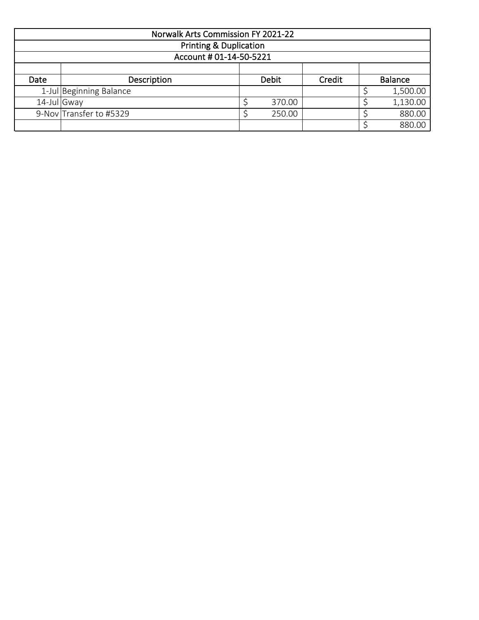|             | <b>Norwalk Arts Commission FY 2021-22</b> |  |              |        |                |          |  |  |  |
|-------------|-------------------------------------------|--|--------------|--------|----------------|----------|--|--|--|
|             | <b>Printing &amp; Duplication</b>         |  |              |        |                |          |  |  |  |
|             | Account # 01-14-50-5221                   |  |              |        |                |          |  |  |  |
|             |                                           |  |              |        |                |          |  |  |  |
| Date        | Description                               |  | <b>Debit</b> | Credit | <b>Balance</b> |          |  |  |  |
|             | 1-Jul Beginning Balance                   |  |              |        |                | 1,500.00 |  |  |  |
| 14-Jul Gway |                                           |  | 370.00       |        |                | 1,130.00 |  |  |  |
|             | 9-Nov Transfer to #5329                   |  | 250.00       |        |                | 880.00   |  |  |  |
|             |                                           |  |              |        |                | 880.00   |  |  |  |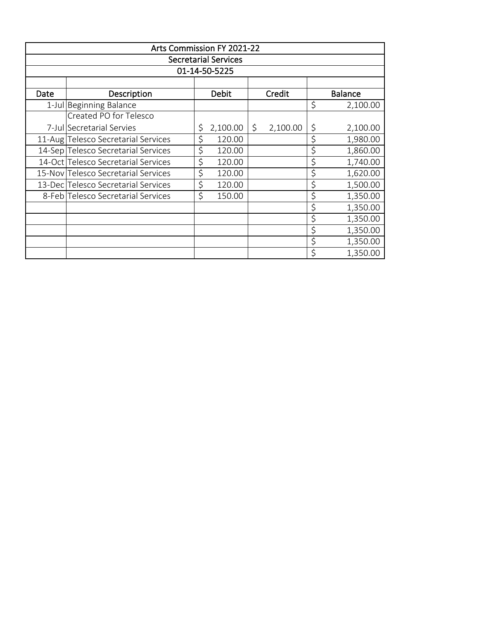|               | Arts Commission FY 2021-22          |    |                             |    |          |    |                |  |  |
|---------------|-------------------------------------|----|-----------------------------|----|----------|----|----------------|--|--|
|               |                                     |    | <b>Secretarial Services</b> |    |          |    |                |  |  |
| 01-14-50-5225 |                                     |    |                             |    |          |    |                |  |  |
|               |                                     |    |                             |    |          |    |                |  |  |
| Date          | Description                         |    | Debit                       |    | Credit   |    | <b>Balance</b> |  |  |
|               | 1-Jul Beginning Balance             |    |                             |    |          | \$ | 2,100.00       |  |  |
|               | Created PO for Telesco              |    |                             |    |          |    |                |  |  |
|               | 7-Jul Secretarial Servies           | \$ | 2,100.00                    | \$ | 2,100.00 | \$ | 2,100.00       |  |  |
|               | 11-Aug Telesco Secretarial Services | \$ | 120.00                      |    |          | \$ | 1,980.00       |  |  |
|               | 14-Sep Telesco Secretarial Services | \$ | 120.00                      |    |          | \$ | 1,860.00       |  |  |
|               | 14-Oct Telesco Secretarial Services | \$ | 120.00                      |    |          | \$ | 1,740.00       |  |  |
|               | 15-Nov Telesco Secretarial Services | \$ | 120.00                      |    |          | \$ | 1,620.00       |  |  |
|               | 13-Dec Telesco Secretarial Services | \$ | 120.00                      |    |          | \$ | 1,500.00       |  |  |
|               | 8-Feb Telesco Secretarial Services  | \$ | 150.00                      |    |          | \$ | 1,350.00       |  |  |
|               |                                     |    |                             |    |          | \$ | 1,350.00       |  |  |
|               |                                     |    |                             |    |          | \$ | 1,350.00       |  |  |
|               |                                     |    |                             |    |          | \$ | 1,350.00       |  |  |
|               |                                     |    |                             |    |          | \$ | 1,350.00       |  |  |
|               |                                     |    |                             |    |          | \$ | 1,350.00       |  |  |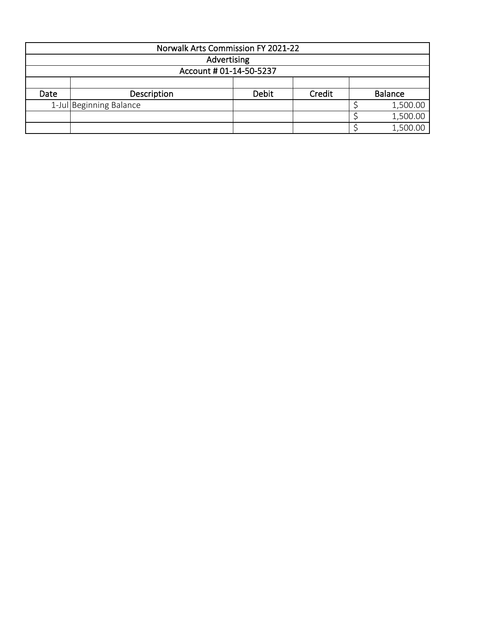|      | Norwalk Arts Commission FY 2021-22 |              |        |  |                |  |  |  |  |
|------|------------------------------------|--------------|--------|--|----------------|--|--|--|--|
|      | Advertising                        |              |        |  |                |  |  |  |  |
|      | Account # 01-14-50-5237            |              |        |  |                |  |  |  |  |
|      |                                    |              |        |  |                |  |  |  |  |
| Date | Description                        | <b>Debit</b> | Credit |  | <b>Balance</b> |  |  |  |  |
|      | 1-Jul Beginning Balance            |              |        |  | 1,500.00       |  |  |  |  |
|      |                                    |              |        |  | 1,500.00       |  |  |  |  |
|      |                                    |              |        |  | 1,500.00       |  |  |  |  |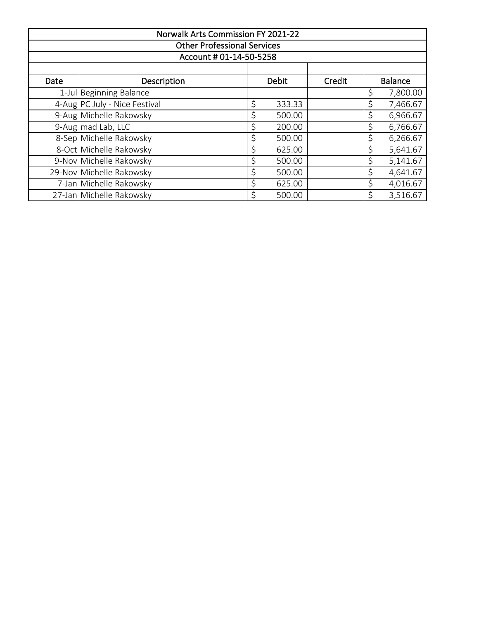|                                    | <b>Norwalk Arts Commission FY 2021-22</b> |    |              |        |    |                |  |  |  |  |
|------------------------------------|-------------------------------------------|----|--------------|--------|----|----------------|--|--|--|--|
| <b>Other Professional Services</b> |                                           |    |              |        |    |                |  |  |  |  |
| Account # 01-14-50-5258            |                                           |    |              |        |    |                |  |  |  |  |
|                                    |                                           |    |              |        |    |                |  |  |  |  |
| Date                               | Description                               |    | <b>Debit</b> | Credit |    | <b>Balance</b> |  |  |  |  |
|                                    | 1-Jul Beginning Balance                   |    |              |        | \$ | 7,800.00       |  |  |  |  |
|                                    | 4-Aug PC July - Nice Festival             | \$ | 333.33       |        | \$ | 7,466.67       |  |  |  |  |
|                                    | 9-Aug Michelle Rakowsky                   | \$ | 500.00       |        | \$ | 6,966.67       |  |  |  |  |
|                                    | 9-Aug mad Lab, LLC                        | \$ | 200.00       |        | \$ | 6,766.67       |  |  |  |  |
|                                    | 8-Sep Michelle Rakowsky                   | \$ | 500.00       |        | \$ | 6,266.67       |  |  |  |  |
|                                    | 8-Oct Michelle Rakowsky                   | \$ | 625.00       |        | \$ | 5,641.67       |  |  |  |  |
|                                    | 9-Nov Michelle Rakowsky                   | \$ | 500.00       |        | \$ | 5,141.67       |  |  |  |  |
|                                    | 29-Nov Michelle Rakowsky                  | \$ | 500.00       |        | \$ | 4,641.67       |  |  |  |  |
|                                    | 7-Jan Michelle Rakowsky                   |    | 625.00       |        | \$ | 4,016.67       |  |  |  |  |
|                                    | 27-Jan Michelle Rakowsky                  | \$ | 500.00       |        | \$ | 3,516.67       |  |  |  |  |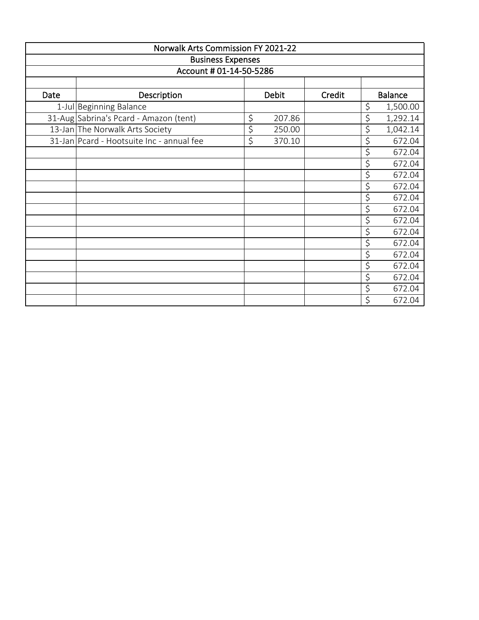|                          | <b>Norwalk Arts Commission FY 2021-22</b> |                  |        |  |    |          |  |        |  |                |
|--------------------------|-------------------------------------------|------------------|--------|--|----|----------|--|--------|--|----------------|
| <b>Business Expenses</b> |                                           |                  |        |  |    |          |  |        |  |                |
| Account # 01-14-50-5286  |                                           |                  |        |  |    |          |  |        |  |                |
|                          |                                           |                  |        |  |    |          |  |        |  |                |
| Date                     | Description                               | <b>Debit</b>     |        |  |    |          |  | Credit |  | <b>Balance</b> |
|                          | 1-Jul Beginning Balance                   |                  |        |  | \$ | 1,500.00 |  |        |  |                |
|                          | 31-Aug Sabrina's Pcard - Amazon (tent)    | \$               | 207.86 |  | \$ | 1,292.14 |  |        |  |                |
|                          | 13-Jan The Norwalk Arts Society           | \$               | 250.00 |  | \$ | 1,042.14 |  |        |  |                |
|                          | 31-Jan Pcard - Hootsuite Inc - annual fee | $\overline{\xi}$ | 370.10 |  | \$ | 672.04   |  |        |  |                |
|                          |                                           |                  |        |  | \$ | 672.04   |  |        |  |                |
|                          |                                           |                  |        |  | \$ | 672.04   |  |        |  |                |
|                          |                                           |                  |        |  | \$ | 672.04   |  |        |  |                |
|                          |                                           |                  |        |  | \$ | 672.04   |  |        |  |                |
|                          |                                           |                  |        |  | \$ | 672.04   |  |        |  |                |
|                          |                                           |                  |        |  | \$ | 672.04   |  |        |  |                |
|                          |                                           |                  |        |  | \$ | 672.04   |  |        |  |                |
|                          |                                           |                  |        |  | \$ | 672.04   |  |        |  |                |
|                          |                                           |                  |        |  | \$ | 672.04   |  |        |  |                |
|                          |                                           |                  |        |  | \$ | 672.04   |  |        |  |                |
|                          |                                           |                  |        |  | \$ | 672.04   |  |        |  |                |
|                          |                                           |                  |        |  | \$ | 672.04   |  |        |  |                |
|                          |                                           |                  |        |  | \$ | 672.04   |  |        |  |                |
|                          |                                           |                  |        |  | \$ | 672.04   |  |        |  |                |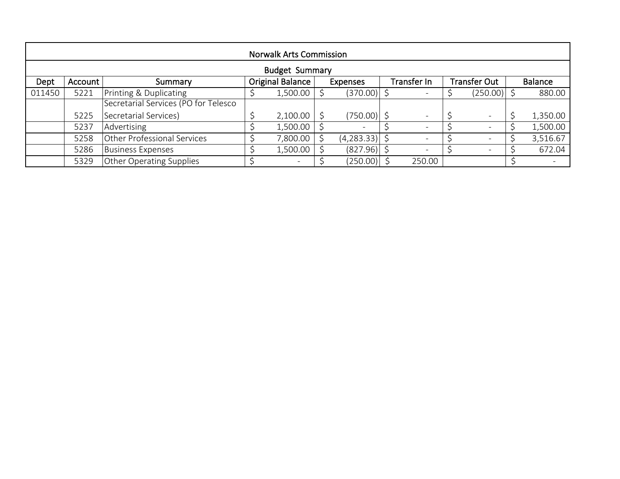| <b>Norwalk Arts Commission</b> |                       |                                      |                         |          |          |                 |                    |                          |  |                          |  |                |
|--------------------------------|-----------------------|--------------------------------------|-------------------------|----------|----------|-----------------|--------------------|--------------------------|--|--------------------------|--|----------------|
|                                | <b>Budget Summary</b> |                                      |                         |          |          |                 |                    |                          |  |                          |  |                |
| Dept                           | Account               | Summary                              | <b>Original Balance</b> |          | Expenses |                 | <b>Transfer In</b> |                          |  | <b>Transfer Out</b>      |  | <b>Balance</b> |
| 011450                         | 5221                  | Printing & Duplicating               |                         | 1,500.00 |          | $(370.00)$ \$   |                    |                          |  | $(250.00)$ \$            |  | 880.00         |
|                                |                       | Secretarial Services (PO for Telesco |                         |          |          |                 |                    |                          |  |                          |  |                |
|                                | 5225                  | Secretarial Services)                |                         | 2,100.00 |          | $(750.00)$ \$   |                    | $\overline{\phantom{a}}$ |  | $\overline{\phantom{0}}$ |  | 1,350.00       |
|                                | 5237                  | Advertising                          |                         | 1,500.00 |          |                 |                    |                          |  |                          |  | 1,500.00       |
|                                | 5258                  | Other Professional Services          |                         | 7,800.00 |          | $(4,283.33)$ \$ |                    |                          |  | $\overline{\phantom{0}}$ |  | 3,516.67       |
|                                | 5286                  | <b>Business Expenses</b>             |                         | 1,500.00 |          | (827.96)        |                    |                          |  | $\overline{\phantom{0}}$ |  | 672.04         |
|                                | 5329                  | Other Operating Supplies             |                         |          |          | (250.00)        |                    | 250.00                   |  |                          |  |                |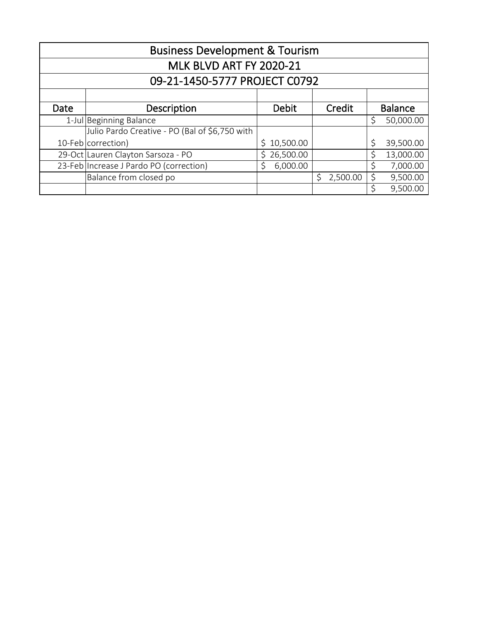| <b>Business Development &amp; Tourism</b> |                                                |             |          |                |           |  |  |  |  |  |  |
|-------------------------------------------|------------------------------------------------|-------------|----------|----------------|-----------|--|--|--|--|--|--|
| MLK BLVD ART FY 2020-21                   |                                                |             |          |                |           |  |  |  |  |  |  |
|                                           | 09-21-1450-5777 PROJECT C0792                  |             |          |                |           |  |  |  |  |  |  |
|                                           |                                                |             |          |                |           |  |  |  |  |  |  |
| Date                                      | Description                                    | Debit       | Credit   | <b>Balance</b> |           |  |  |  |  |  |  |
|                                           | 1-Jul Beginning Balance                        |             |          | \$             | 50,000.00 |  |  |  |  |  |  |
|                                           | Julio Pardo Creative - PO (Bal of \$6,750 with |             |          |                |           |  |  |  |  |  |  |
|                                           | 10-Feb correction)                             | \$10,500.00 |          | \$             | 39,500.00 |  |  |  |  |  |  |
|                                           | 29-Oct Lauren Clayton Sarsoza - PO             | \$26,500.00 |          | Ś              | 13,000.00 |  |  |  |  |  |  |
|                                           | 23-Feb Increase J Pardo PO (correction)        | 6,000.00    |          | Ś              | 7,000.00  |  |  |  |  |  |  |
|                                           | Balance from closed po                         |             | 2,500.00 | \$             | 9,500.00  |  |  |  |  |  |  |
|                                           |                                                |             |          | \$             | 9,500.00  |  |  |  |  |  |  |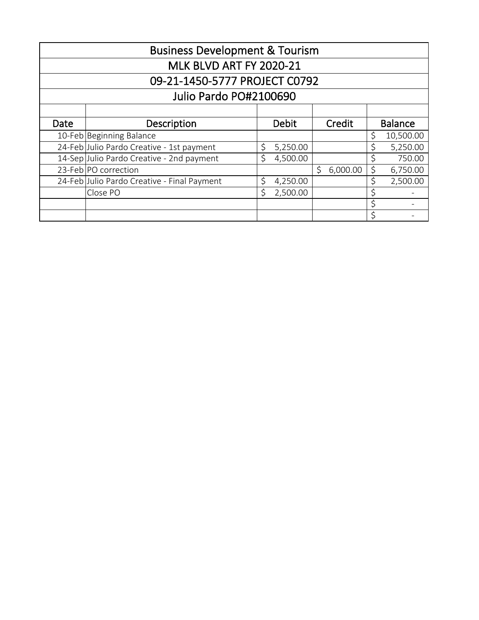|                               | <b>Business Development &amp; Tourism</b>   |                    |              |               |                |           |  |  |  |  |
|-------------------------------|---------------------------------------------|--------------------|--------------|---------------|----------------|-----------|--|--|--|--|
| MLK BLVD ART FY 2020-21       |                                             |                    |              |               |                |           |  |  |  |  |
| 09-21-1450-5777 PROJECT C0792 |                                             |                    |              |               |                |           |  |  |  |  |
|                               | Julio Pardo PO#2100690                      |                    |              |               |                |           |  |  |  |  |
|                               |                                             |                    |              |               |                |           |  |  |  |  |
| Date                          | Description                                 |                    | <b>Debit</b> | Credit        | <b>Balance</b> |           |  |  |  |  |
|                               | 10-Feb Beginning Balance                    |                    |              |               | \$             | 10,500.00 |  |  |  |  |
|                               | 24-Feb Julio Pardo Creative - 1st payment   | \$                 | 5,250.00     |               | \$             | 5,250.00  |  |  |  |  |
|                               | 14-Sep Julio Pardo Creative - 2nd payment   | Ś.                 | 4,500.00     |               | \$             | 750.00    |  |  |  |  |
|                               | 23-Feb PO correction                        |                    |              | Ŝ<br>6,000.00 | \$             | 6,750.00  |  |  |  |  |
|                               | 24-Feb Julio Pardo Creative - Final Payment | \$                 | 4,250.00     |               | \$             | 2,500.00  |  |  |  |  |
|                               | Close PO                                    | $\mathsf{\dot{S}}$ | 2,500.00     |               | \$             |           |  |  |  |  |
|                               |                                             |                    |              |               | \$             |           |  |  |  |  |
|                               |                                             |                    |              |               | \$             |           |  |  |  |  |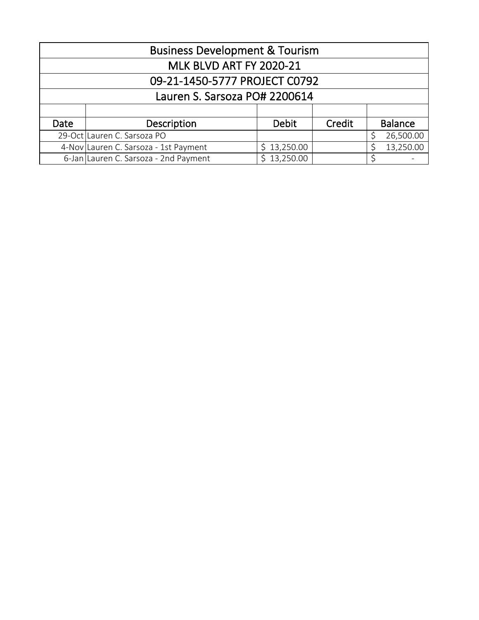|                                | <b>Business Development &amp; Tourism</b>                         |              |        |                |  |  |  |  |  |
|--------------------------------|-------------------------------------------------------------------|--------------|--------|----------------|--|--|--|--|--|
| <b>MLK BLVD ART FY 2020-21</b> |                                                                   |              |        |                |  |  |  |  |  |
|                                | 09-21-1450-5777 PROJECT C0792                                     |              |        |                |  |  |  |  |  |
|                                | Lauren S. Sarsoza PO# 2200614                                     |              |        |                |  |  |  |  |  |
|                                |                                                                   |              |        |                |  |  |  |  |  |
| Date                           | Description                                                       | <b>Debit</b> | Credit | <b>Balance</b> |  |  |  |  |  |
|                                | 29-Oct Lauren C. Sarsoza PO                                       |              |        | 26,500.00      |  |  |  |  |  |
|                                | 13,250.00<br>\$13,250.00<br>4-Nov Lauren C. Sarsoza - 1st Payment |              |        |                |  |  |  |  |  |
|                                | 6-Jan Lauren C. Sarsoza - 2nd Payment                             | \$13,250.00  |        |                |  |  |  |  |  |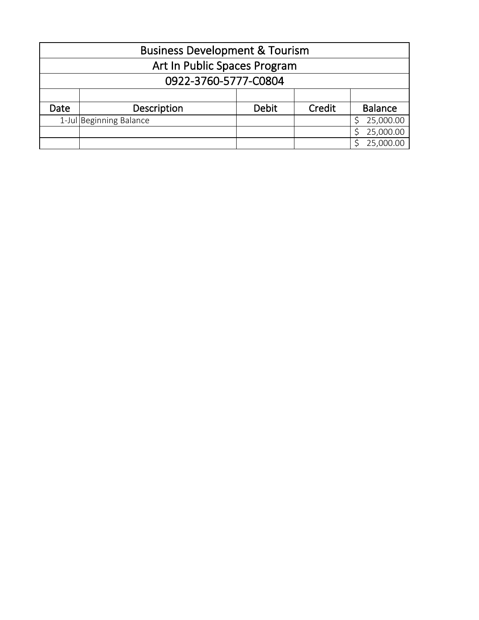| <b>Business Development &amp; Tourism</b> |                              |              |        |                |  |  |  |  |
|-------------------------------------------|------------------------------|--------------|--------|----------------|--|--|--|--|
|                                           | Art In Public Spaces Program |              |        |                |  |  |  |  |
|                                           | 0922-3760-5777-C0804         |              |        |                |  |  |  |  |
|                                           |                              |              |        |                |  |  |  |  |
| Date                                      | Description                  | <b>Debit</b> | Credit | <b>Balance</b> |  |  |  |  |
|                                           | 1-Jul Beginning Balance      |              |        | 25,000.00      |  |  |  |  |
|                                           |                              |              |        | 25,000.00      |  |  |  |  |
|                                           |                              |              |        | 25,000.00      |  |  |  |  |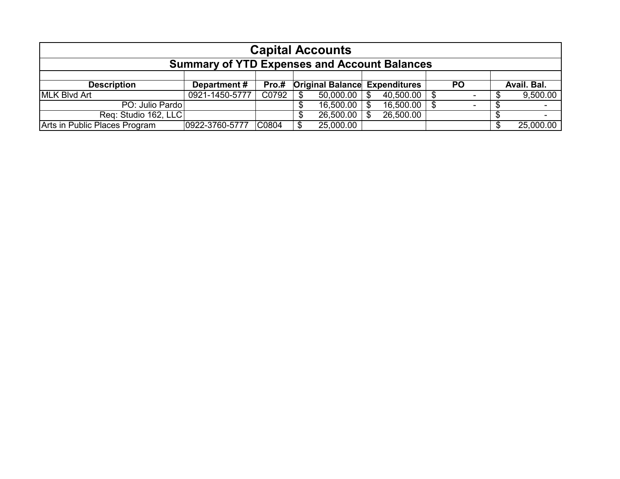| <b>Capital Accounts</b>                             |                |       |  |                                      |     |                  |  |           |             |
|-----------------------------------------------------|----------------|-------|--|--------------------------------------|-----|------------------|--|-----------|-------------|
| <b>Summary of YTD Expenses and Account Balances</b> |                |       |  |                                      |     |                  |  |           |             |
|                                                     |                |       |  |                                      |     |                  |  |           |             |
| <b>Description</b>                                  | Department#    | Pro.# |  | <b>Original Balance Expenditures</b> |     |                  |  | <b>PO</b> | Avail. Bal. |
| <b>IMLK Blvd Art</b>                                | 0921-1450-5777 | C0792 |  | 50,000.00                            | -SS | $40,500.00$ \ \$ |  |           | 9,500.00    |
| PO: Julio Pardo                                     |                |       |  | 16,500.00                            | \$. | 16,500.00        |  |           |             |
| Req: Studio 162, LLC                                |                |       |  | 26,500.00                            |     | 26,500.00        |  |           |             |
| Arts in Public Places Program                       | 0922-3760-5777 | C0804 |  | 25,000.00                            |     |                  |  |           | 25,000.00   |